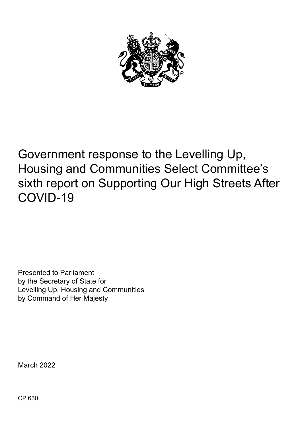

# Government response to the Levelling Up, Housing and Communities Select Committee's sixth report on Supporting Our High Streets After COVID-19

Presented to Parliament by the Secretary of State for Levelling Up, Housing and Communities by Command of Her Majesty

March 2022

CP 630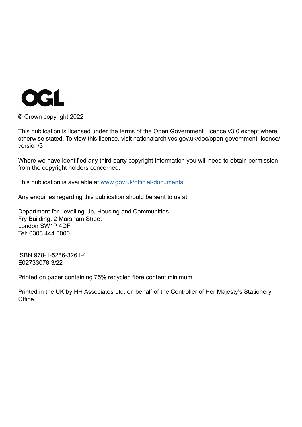

© Crown copyright 2022

This publication is licensed under the terms of the Open Government Licence v3.0 except where otherwise stated. To view this licence, visit nationalarchives.gov.uk/doc/open-government-licence/ version/3

Where we have identified any third party copyright information you will need to obtain permission from the copyright holders concerned.

This publication is available at [www.gov.uk/official-documents](http://www.gov.uk/official-documents).

Any enquiries regarding this publication should be sent to us at

Department for Levelling Up, Housing and Communities Fry Building, 2 Marsham Street London SW1P 4DF Tel: 0303 444 0000

ISBN 978-1-5286-3261-4 E02733078 3/22

Printed on paper containing 75% recycled fibre content minimum

Printed in the UK by HH Associates Ltd. on behalf of the Controller of Her Majesty's Stationery Office.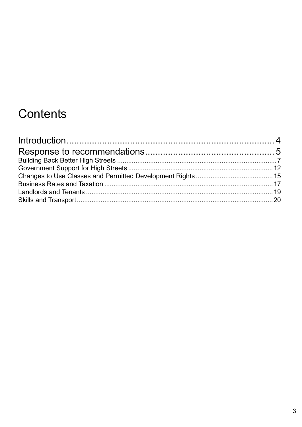# Contents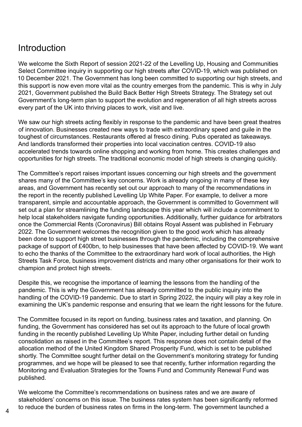# <span id="page-3-0"></span>Introduction

We welcome the Sixth Report of session 2021-22 of the Levelling Up, Housing and Communities Select Committee inquiry in supporting our high streets after COVID-19, which was published on 10 December 2021. The Government has long been committed to supporting our high streets, and this support is now even more vital as the country emerges from the pandemic. This is why in July 2021, Government published the Build Back Better High Streets Strategy. The Strategy set out Government's long-term plan to support the evolution and regeneration of all high streets across every part of the UK into thriving places to work, visit and live.

We saw our high streets acting flexibly in response to the pandemic and have been great theatres of innovation. Businesses created new ways to trade with extraordinary speed and guile in the toughest of circumstances. Restaurants offered al fresco dining. Pubs operated as takeaways. And landlords transformed their properties into local vaccination centres. COVID-19 also accelerated trends towards online shopping and working from home. This creates challenges and opportunities for high streets. The traditional economic model of high streets is changing quickly.

The Committee's report raises important issues concerning our high streets and the government shares many of the Committee's key concerns. Work is already ongoing in many of these key areas, and Government has recently set out our approach to many of the recommendations in the report in the recently published Levelling Up White Paper. For example, to deliver a more transparent, simple and accountable approach, the Government is committed to Government will set out a plan for streamlining the funding landscape this year which will include a commitment to help local stakeholders navigate funding opportunities. Additionally, further guidance for arbitrators once the Commercial Rents (Coronavirus) Bill obtains Royal Assent was published in February 2022. The Government welcomes the recognition given to the good work which has already been done to support high street businesses through the pandemic, including the comprehensive package of support of £400bn, to help businesses that have been affected by COVID-19. We want to echo the thanks of the Committee to the extraordinary hard work of local authorities, the High Streets Task Force, business improvement districts and many other organisations for their work to champion and protect high streets.

Despite this, we recognise the importance of learning the lessons from the handling of the pandemic. This is why the Government has already committed to the public inquiry into the handling of the COVID-19 pandemic. Due to start in Spring 2022, the inquiry will play a key role in examining the UK's pandemic response and ensuring that we learn the right lessons for the future.

The Committee focused in its report on funding, business rates and taxation, and planning. On funding, the Government has considered has set out its approach to the future of local growth funding in the recently published Levelling Up White Paper, including further detail on funding consolidation as raised in the Committee's report. This response does not contain detail of the allocation method of the United Kingdom Shared Prosperity Fund, which is set to be published shortly. The Committee sought further detail on the Government's monitoring strategy for funding programmes, and we hope will be pleased to see that recently, further information regarding the Monitoring and Evaluation Strategies for the Towns Fund and Community Renewal Fund was published.

We welcome the Committee's recommendations on business rates and we are aware of stakeholders' concerns on this issue. The business rates system has been significantly reformed to reduce the burden of business rates on firms in the long-term. The government launched a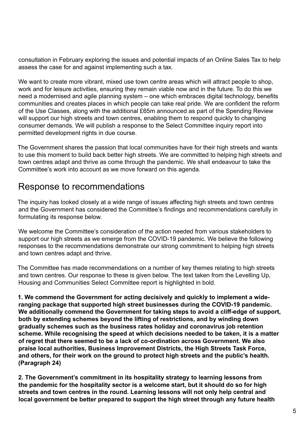<span id="page-4-0"></span>consultation in February exploring the issues and potential impacts of an Online Sales Tax to help assess the case for and against implementing such a tax.

We want to create more vibrant, mixed use town centre areas which will attract people to shop, work and for leisure activities, ensuring they remain viable now and in the future. To do this we need a modernised and agile planning system – one which embraces digital technology, benefits communities and creates places in which people can take real pride. We are confident the reform of the Use Classes, along with the additional £65m announced as part of the Spending Review will support our high streets and town centres, enabling them to respond quickly to changing consumer demands. We will publish a response to the Select Committee inquiry report into permitted development rights in due course.

The Government shares the passion that local communities have for their high streets and wants to use this moment to build back better high streets. We are committed to helping high streets and town centres adapt and thrive as come through the pandemic. We shall endeavour to take the Committee's work into account as we move forward on this agenda.

# Response to recommendations

The inquiry has looked closely at a wide range of issues affecting high streets and town centres and the Government has considered the Committee's findings and recommendations carefully in formulating its response below.

We welcome the Committee's consideration of the action needed from various stakeholders to support our high streets as we emerge from the COVID-19 pandemic. We believe the following responses to the recommendations demonstrate our strong commitment to helping high streets and town centres adapt and thrive.

The Committee has made recommendations on a number of key themes relating to high streets and town centres. Our response to these is given below. The text taken from the Levelling Up, Housing and Communities Select Committee report is highlighted in bold.

**1. We commend the Government for acting decisively and quickly to implement a wideranging package that supported high street businesses during the COVID-19 pandemic. We additionally commend the Government for taking steps to avoid a cliff-edge of support, both by extending schemes beyond the lifting of restrictions, and by winding down gradually schemes such as the business rates holiday and coronavirus job retention scheme. While recognising the speed at which decisions needed to be taken, it is a matter of regret that there seemed to be a lack of co-ordination across Government. We also praise local authorities, Business Improvement Districts, the High Streets Task Force, and others, for their work on the ground to protect high streets and the public's health. (Paragraph 24)**

**2. The Government's commitment in its hospitality strategy to learning lessons from the pandemic for the hospitality sector is a welcome start, but it should do so for high streets and town centres in the round. Learning lessons will not only help central and local government be better prepared to support the high street through any future health**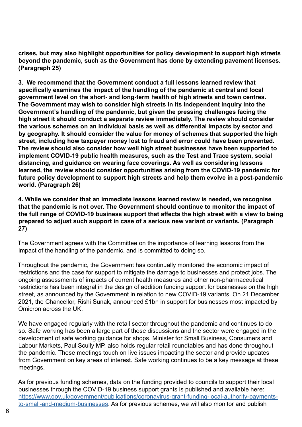**crises, but may also highlight opportunities for policy development to support high streets beyond the pandemic, such as the Government has done by extending pavement licenses. (Paragraph 25)**

**3. We recommend that the Government conduct a full lessons learned review that specifically examines the impact of the handling of the pandemic at central and local government level on the short- and long-term health of high streets and town centres. The Government may wish to consider high streets in its independent inquiry into the Government's handling of the pandemic, but given the pressing challenges facing the high street it should conduct a separate review immediately. The review should consider the various schemes on an individual basis as well as differential impacts by sector and by geography. It should consider the value for money of schemes that supported the high street, including how taxpayer money lost to fraud and error could have been prevented. The review should also consider how well high street businesses have been supported to implement COVID-19 public health measures, such as the Test and Trace system, social distancing, and guidance on wearing face coverings. As well as considering lessons learned, the review should consider opportunities arising from the COVID-19 pandemic for future policy development to support high streets and help them evolve in a post-pandemic world. (Paragraph 26)**

**4. While we consider that an immediate lessons learned review is needed, we recognise that the pandemic is not over. The Government should continue to monitor the impact of the full range of COVID-19 business support that affects the high street with a view to being**  prepared to adjust such support in case of a serious new variant or variants. (Paragraph **27)**

The Government agrees with the Committee on the importance of learning lessons from the impact of the handling of the pandemic, and is committed to doing so.

Throughout the pandemic, the Government has continually monitored the economic impact of restrictions and the case for support to mitigate the damage to businesses and protect jobs. The ongoing assessments of impacts of current health measures and other non-pharmaceutical restrictions has been integral in the design of addition funding support for businesses on the high street, as announced by the Government in relation to new COVID-19 variants. On 21 December 2021, the Chancellor, Rishi Sunak, announced £1bn in support for businesses most impacted by Omicron across the UK.

We have engaged regularly with the retail sector throughout the pandemic and continues to do so. Safe working has been a large part of those discussions and the sector were engaged in the development of safe working guidance for shops. Minister for Small Business, Consumers and Labour Markets, Paul Scully MP, also holds regular retail roundtables and has done throughout the pandemic. These meetings touch on live issues impacting the sector and provide updates from Government on key areas of interest. Safe working continues to be a key message at these meetings.

As for previous funding schemes, data on the funding provided to councils to support their local businesses through the COVID-19 business support grants is published and available here: [https://www.gov.uk/government/publications/coronavirus-grant-funding-local-authority-payments](https://www.gov.uk/government/publications/coronavirus-grant-funding-local-authority-payments-to-small-and-medium-businesses)[to-small-and-medium-businesses](https://www.gov.uk/government/publications/coronavirus-grant-funding-local-authority-payments-to-small-and-medium-businesses). As for previous schemes, we will also monitor and publish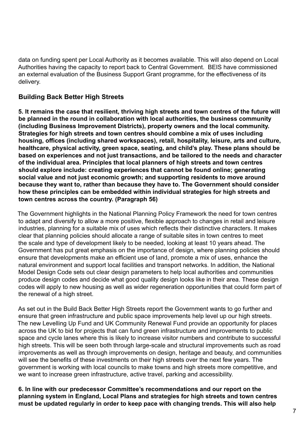<span id="page-6-0"></span>data on funding spent per Local Authority as it becomes available. This will also depend on Local Authorities having the capacity to report back to Central Government. BEIS have commissioned an external evaluation of the Business Support Grant programme, for the effectiveness of its delivery.

# **Building Back Better High Streets**

**5. It remains the case that resilient, thriving high streets and town centres of the future will be planned in the round in collaboration with local authorities, the business community (including Business Improvement Districts), property owners and the local community. Strategies for high streets and town centres should combine a mix of uses including housing, offices (including shared workspaces), retail, hospitality, leisure, arts and culture, healthcare, physical activity, green space, seating, and child's play. These plans should be based on experiences and not just transactions, and be tailored to the needs and character of the individual area. Principles that local planners of high streets and town centres should explore include: creating experiences that cannot be found online; generating social value and not just economic growth; and supporting residents to move around because they want to, rather than because they have to. The Government should consider how these principles can be embedded within individual strategies for high streets and town centres across the country. (Paragraph 56)**

The Government highlights in the National Planning Policy Framework the need for town centres to adapt and diversify to allow a more positive, flexible approach to changes in retail and leisure industries, planning for a suitable mix of uses which reflects their distinctive characters. It makes clear that planning policies should allocate a range of suitable sites in town centres to meet the scale and type of development likely to be needed, looking at least 10 years ahead. The Government has put great emphasis on the importance of design, where planning policies should ensure that developments make an efficient use of land, promote a mix of uses, enhance the natural environment and support local facilities and transport networks. In addition, the National Model Design Code sets out clear design parameters to help local authorities and communities produce design codes and decide what good quality design looks like in their area. These design codes will apply to new housing as well as wider regeneration opportunities that could form part of the renewal of a high street.

As set out in the Build Back Better High Streets report the Government wants to go further and ensure that green infrastructure and public space improvements help level up our high streets. The new Levelling Up Fund and UK Community Renewal Fund provide an opportunity for places across the UK to bid for projects that can fund green infrastructure and improvements to public space and cycle lanes where this is likely to increase visitor numbers and contribute to successful high streets. This will be seen both through large-scale and structural improvements such as road improvements as well as through improvements on design, heritage and beauty, and communities will see the benefits of these investments on their high streets over the next few years. The government is working with local councils to make towns and high streets more competitive, and we want to increase green infrastructure, active travel, parking and accessibility.

**6. In line with our predecessor Committee's recommendations and our report on the planning system in England, Local Plans and strategies for high streets and town centres must be updated regularly in order to keep pace with changing trends. This will also help**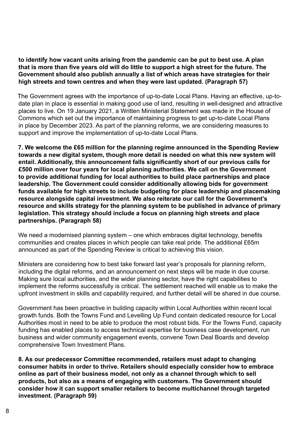**to identify how vacant units arising from the pandemic can be put to best use. A plan that is more than five years old will do little to support a high street for the future. The Government should also publish annually a list of which areas have strategies for their high streets and town centres and when they were last updated. (Paragraph 57)**

The Government agrees with the importance of up-to-date Local Plans. Having an effective, up-todate plan in place is essential in making good use of land, resulting in well-designed and attractive places to live. On 19 January 2021, a Written Ministerial Statement was made in the House of Commons which set out the importance of maintaining progress to get up-to-date Local Plans in place by December 2023. As part of the planning reforms, we are considering measures to support and improve the implementation of up-to-date Local Plans.

**7. We welcome the £65 million for the planning regime announced in the Spending Review towards a new digital system, though more detail is needed on what this new system will entail. Additionally, this announcement falls significantly short of our previous calls for £500 million over four years for local planning authorities. We call on the Government to provide additional funding for local authorities to build place partnerships and place leadership. The Government could consider additionally allowing bids for government funds available for high streets to include budgeting for place leadership and placemaking resource alongside capital investment. We also reiterate our call for the Government's resource and skills strategy for the planning system to be published in advance of primary legislation. This strategy should include a focus on planning high streets and place partnerships. (Paragraph 58)**

We need a modernised planning system – one which embraces digital technology, benefits communities and creates places in which people can take real pride. The additional £65m announced as part of the Spending Review is critical to achieving this vision.

Ministers are considering how to best take forward last year's proposals for planning reform, including the digital reforms, and an announcement on next steps will be made in due course. Making sure local authorities, and the wider planning sector, have the right capabilities to implement the reforms successfully is critical. The settlement reached will enable us to make the upfront investment in skills and capability required, and further detail will be shared in due course.

Government has been proactive in building capacity within Local Authorities within recent local growth funds. Both the Towns Fund and Levelling Up Fund contain dedicated resource for Local Authorities most in need to be able to produce the most robust bids. For the Towns Fund, capacity funding has enabled places to access technical expertise for business case development, run business and wider community engagement events, convene Town Deal Boards and develop comprehensive Town Investment Plans.

**8. As our predecessor Committee recommended, retailers must adapt to changing consumer habits in order to thrive. Retailers should especially consider how to embrace online as part of their business model, not only as a channel through which to sell products, but also as a means of engaging with customers. The Government should consider how it can support smaller retailers to become multichannel through targeted investment. (Paragraph 59)**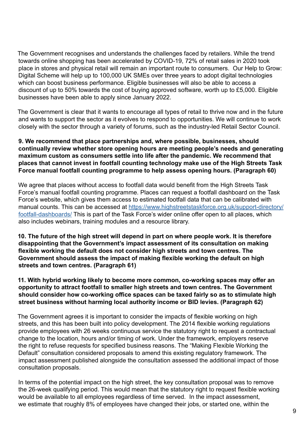The Government recognises and understands the challenges faced by retailers. While the trend towards online shopping has been accelerated by COVID-19, 72% of retail sales in 2020 took place in stores and physical retail will remain an important route to consumers. Our Help to Grow: Digital Scheme will help up to 100,000 UK SMEs over three years to adopt digital technologies which can boost business performance. Eligible businesses will also be able to access a discount of up to 50% towards the cost of buying approved software, worth up to £5,000. Eligible businesses have been able to apply since January 2022.

The Government is clear that it wants to encourage all types of retail to thrive now and in the future and wants to support the sector as it evolves to respond to opportunities. We will continue to work closely with the sector through a variety of forums, such as the industry-led Retail Sector Council.

#### **9. We recommend that place partnerships and, where possible, businesses, should continually review whether store opening hours are meeting people's needs and generating maximum custom as consumers settle into life after the pandemic. We recommend that places that cannot invest in footfall counting technology make use of the High Streets Task Force manual footfall counting programme to help assess opening hours. (Paragraph 60)**

We agree that places without access to footfall data would benefit from the High Streets Task Force's manual footfall counting programme. Places can request a footfall dashboard on the Task Force's website, which gives them access to estimated footfall data that can be calibrated with manual counts. This can be accessed at [https://www.highstreetstaskforce.org.uk/support-directory/](https://www.highstreetstaskforce.org.uk/support-directory/footfall-dashboards/) [footfall-dashboards/](https://www.highstreetstaskforce.org.uk/support-directory/footfall-dashboards/) This is part of the Task Force's wider online offer open to all places, which also includes webinars, training modules and a resource library.

**10. The future of the high street will depend in part on where people work. It is therefore disappointing that the Government's impact assessment of its consultation on making flexible working the default does not consider high streets and town centres. The Government should assess the impact of making flexible working the default on high streets and town centres. (Paragraph 61)**

**11. With hybrid working likely to become more common, co-working spaces may offer an opportunity to attract footfall to smaller high streets and town centres. The Government should consider how co-working office spaces can be taxed fairly so as to stimulate high street business without harming local authority income or BID levies. (Paragraph 62)**

The Government agrees it is important to consider the impacts of flexible working on high streets, and this has been built into policy development. The 2014 flexible working regulations provide employees with 26 weeks continuous service the statutory right to request a contractual change to the location, hours and/or timing of work. Under the framework, employers reserve the right to refuse requests for specified business reasons. The "Making Flexible Working the Default" consultation considered proposals to amend this existing regulatory framework. The impact assessment published alongside the consultation assessed the additional impact of those consultation proposals.

In terms of the potential impact on the high street, the key consultation proposal was to remove the 26-week qualifying period. This would mean that the statutory right to request flexible working would be available to all employees regardless of time served. In the impact assessment, we estimate that roughly 8% of employees have changed their jobs, or started one, within the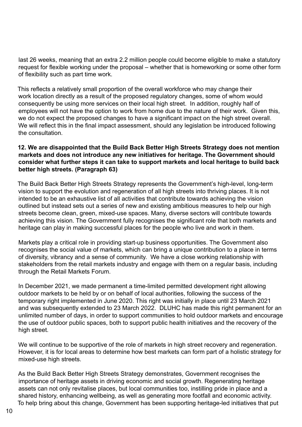last 26 weeks, meaning that an extra 2.2 million people could become eligible to make a statutory request for flexible working under the proposal – whether that is homeworking or some other form of flexibility such as part time work.

This reflects a relatively small proportion of the overall workforce who may change their work location directly as a result of the proposed regulatory changes, some of whom would consequently be using more services on their local high street. In addition, roughly half of employees will not have the option to work from home due to the nature of their work. Given this, we do not expect the proposed changes to have a significant impact on the high street overall. We will reflect this in the final impact assessment, should any legislation be introduced following the consultation.

#### **12. We are disappointed that the Build Back Better High Streets Strategy does not mention markets and does not introduce any new initiatives for heritage. The Government should consider what further steps it can take to support markets and local heritage to build back better high streets. (Paragraph 63)**

The Build Back Better High Streets Strategy represents the Government's high-level, long-term vision to support the evolution and regeneration of all high streets into thriving places. It is not intended to be an exhaustive list of all activities that contribute towards achieving the vision outlined but instead sets out a series of new and existing ambitious measures to help our high streets become clean, green, mixed-use spaces. Many, diverse sectors will contribute towards achieving this vision. The Government fully recognises the significant role that both markets and heritage can play in making successful places for the people who live and work in them.

Markets play a critical role in providing start-up business opportunities. The Government also recognises the social value of markets, which can bring a unique contribution to a place in terms of diversity, vibrancy and a sense of community. We have a close working relationship with stakeholders from the retail markets industry and engage with them on a regular basis, including through the Retail Markets Forum.

In December 2021, we made permanent a time-limited permitted development right allowing outdoor markets to be held by or on behalf of local authorities, following the success of the temporary right implemented in June 2020. This right was initially in place until 23 March 2021 and was subsequently extended to 23 March 2022. DLUHC has made this right permanent for an unlimited number of days, in order to support communities to hold outdoor markets and encourage the use of outdoor public spaces, both to support public health initiatives and the recovery of the high street.

We will continue to be supportive of the role of markets in high street recovery and regeneration. However, it is for local areas to determine how best markets can form part of a holistic strategy for mixed-use high streets.

As the Build Back Better High Streets Strategy demonstrates, Government recognises the importance of heritage assets in driving economic and social growth. Regenerating heritage assets can not only revitalise places, but local communities too, instilling pride in place and a shared history, enhancing wellbeing, as well as generating more footfall and economic activity. To help bring about this change, Government has been supporting heritage-led initiatives that put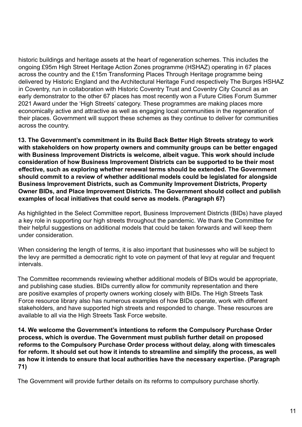historic buildings and heritage assets at the heart of regeneration schemes. This includes the ongoing £95m High Street Heritage Action Zones programme (HSHAZ) operating in 67 places across the country and the £15m Transforming Places Through Heritage programme being delivered by Historic England and the Architectural Heritage Fund respectively The Burges HSHAZ in Coventry, run in collaboration with Historic Coventry Trust and Coventry City Council as an early demonstrator to the other 67 places has most recently won a Future Cities Forum Summer 2021 Award under the 'High Streets' category. These programmes are making places more economically active and attractive as well as engaging local communities in the regeneration of their places. Government will support these schemes as they continue to deliver for communities across the country.

**13. The Government's commitment in its Build Back Better High Streets strategy to work with stakeholders on how property owners and community groups can be better engaged with Business Improvement Districts is welcome, albeit vague. This work should include consideration of how Business Improvement Districts can be supported to be their most effective, such as exploring whether renewal terms should be extended. The Government should commit to a review of whether additional models could be legislated for alongside Business Improvement Districts, such as Community Improvement Districts, Property Owner BIDs, and Place Improvement Districts. The Government should collect and publish examples of local initiatives that could serve as models. (Paragraph 67)**

As highlighted in the Select Committee report, Business Improvement Districts (BIDs) have played a key role in supporting our high streets throughout the pandemic. We thank the Committee for their helpful suggestions on additional models that could be taken forwards and will keep them under consideration.

When considering the length of terms, it is also important that businesses who will be subject to the levy are permitted a democratic right to vote on payment of that levy at regular and frequent intervals.

The Committee recommends reviewing whether additional models of BIDs would be appropriate, and publishing case studies. BIDs currently allow for community representation and there are positive examples of property owners working closely with BIDs. The High Streets Task Force resource library also has numerous examples of how BIDs operate, work with different stakeholders, and have supported high streets and responded to change. These resources are available to all via the High Streets Task Force website.

**14. We welcome the Government's intentions to reform the Compulsory Purchase Order process, which is overdue. The Government must publish further detail on proposed reforms to the Compulsory Purchase Order process without delay, along with timescales for reform. It should set out how it intends to streamline and simplify the process, as well as how it intends to ensure that local authorities have the necessary expertise. (Paragraph 71)**

The Government will provide further details on its reforms to compulsory purchase shortly.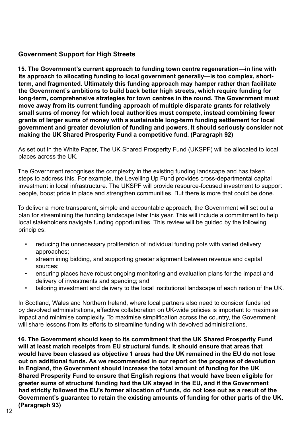# <span id="page-11-0"></span>**Government Support for High Streets**

**15. The Government's current approach to funding town centre regeneration—in line with its approach to allocating funding to local government generally—is too complex, shortterm, and fragmented. Ultimately this funding approach may hamper rather than facilitate the Government's ambitions to build back better high streets, which require funding for long-term, comprehensive strategies for town centres in the round. The Government must move away from its current funding approach of multiple disparate grants for relatively small sums of money for which local authorities must compete, instead combining fewer grants of larger sums of money with a sustainable long-term funding settlement for local government and greater devolution of funding and powers. It should seriously consider not making the UK Shared Prosperity Fund a competitive fund. (Paragraph 92)**

As set out in the White Paper, The UK Shared Prosperity Fund (UKSPF) will be allocated to local places across the UK.

The Government recognises the complexity in the existing funding landscape and has taken steps to address this. For example, the Levelling Up Fund provides cross-departmental capital investment in local infrastructure. The UKSPF will provide resource-focused investment to support people, boost pride in place and strengthen communities. But there is more that could be done.

To deliver a more transparent, simple and accountable approach, the Government will set out a plan for streamlining the funding landscape later this year. This will include a commitment to help local stakeholders navigate funding opportunities. This review will be guided by the following principles:

- reducing the unnecessary proliferation of individual funding pots with varied delivery approaches;
- streamlining bidding, and supporting greater alignment between revenue and capital sources;
- ensuring places have robust ongoing monitoring and evaluation plans for the impact and delivery of investments and spending; and
- tailoring investment and delivery to the local institutional landscape of each nation of the UK.

In Scotland, Wales and Northern Ireland, where local partners also need to consider funds led by devolved administrations, effective collaboration on UK-wide policies is important to maximise impact and minimise complexity. To maximise simplification across the country, the Government will share lessons from its efforts to streamline funding with devolved administrations.

**16. The Government should keep to its commitment that the UK Shared Prosperity Fund will at least match receipts from EU structural funds. It should ensure that areas that would have been classed as objective 1 areas had the UK remained in the EU do not lose out on additional funds. As we recommended in our report on the progress of devolution in England, the Government should increase the total amount of funding for the UK Shared Prosperity Fund to ensure that English regions that would have been eligible for greater sums of structural funding had the UK stayed in the EU, and if the Government had strictly followed the EU's former allocation of funds, do not lose out as a result of the Government's guarantee to retain the existing amounts of funding for other parts of the UK. (Paragraph 93)**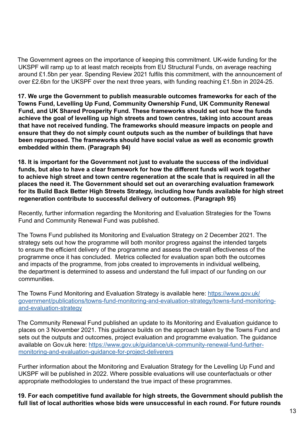The Government agrees on the importance of keeping this commitment. UK-wide funding for the UKSPF will ramp up to at least match receipts from EU Structural Funds, on average reaching around £1.5bn per year. Spending Review 2021 fulfils this commitment, with the announcement of over £2.6bn for the UKSPF over the next three years, with funding reaching £1.5bn in 2024-25.

**17. We urge the Government to publish measurable outcomes frameworks for each of the Towns Fund, Levelling Up Fund, Community Ownership Fund, UK Community Renewal Fund, and UK Shared Prosperity Fund. These frameworks should set out how the funds achieve the goal of levelling up high streets and town centres, taking into account areas that have not received funding. The frameworks should measure impacts on people and ensure that they do not simply count outputs such as the number of buildings that have been repurposed. The frameworks should have social value as well as economic growth embedded within them. (Paragraph 94)**

**18. It is important for the Government not just to evaluate the success of the individual funds, but also to have a clear framework for how the different funds will work together to achieve high street and town centre regeneration at the scale that is required in all the places the need it. The Government should set out an overarching evaluation framework for its Build Back Better High Streets Strategy, including how funds available for high street regeneration contribute to successful delivery of outcomes. (Paragraph 95)**

Recently, further information regarding the Monitoring and Evaluation Strategies for the Towns Fund and Community Renewal Fund was published.

The Towns Fund published its Monitoring and Evaluation Strategy on 2 December 2021. The strategy sets out how the programme will both monitor progress against the intended targets to ensure the efficient delivery of the programme and assess the overall effectiveness of the programme once it has concluded. Metrics collected for evaluation span both the outcomes and impacts of the programme, from jobs created to improvements in individual wellbeing, the department is determined to assess and understand the full impact of our funding on our communities.

The Towns Fund Monitoring and Evaluation Strategy is available here: [https://www.gov.uk/](https://www.gov.uk/government/publications/towns-fund-monitoring-and-evaluation-strategy/towns-fund-monitoring-and-evaluation-strategy) [government/publications/towns-fund-monitoring-and-evaluation-strategy/towns-fund-monitoring](https://www.gov.uk/government/publications/towns-fund-monitoring-and-evaluation-strategy/towns-fund-monitoring-and-evaluation-strategy)[and-evaluation-strategy](https://www.gov.uk/government/publications/towns-fund-monitoring-and-evaluation-strategy/towns-fund-monitoring-and-evaluation-strategy)

The Community Renewal Fund published an update to its Monitoring and Evaluation guidance to places on 3 November 2021. This guidance builds on the approach taken by the Towns Fund and sets out the outputs and outcomes, project evaluation and programme evaluation. The guidance available on Gov.uk here: [https://www.gov.uk/guidance/uk-community-renewal-fund-further](https://www.gov.uk/guidance/uk-community-renewal-fund-further-monitoring-and-evaluation-guidance-for-project-deliverers)[monitoring-and-evaluation-guidance-for-project-deliverers](https://www.gov.uk/guidance/uk-community-renewal-fund-further-monitoring-and-evaluation-guidance-for-project-deliverers)

Further information about the Monitoring and Evaluation Strategy for the Levelling Up Fund and UKSPF will be published in 2022. Where possible evaluations will use counterfactuals or other appropriate methodologies to understand the true impact of these programmes.

**19. For each competitive fund available for high streets, the Government should publish the full list of local authorities whose bids were unsuccessful in each round. For future rounds**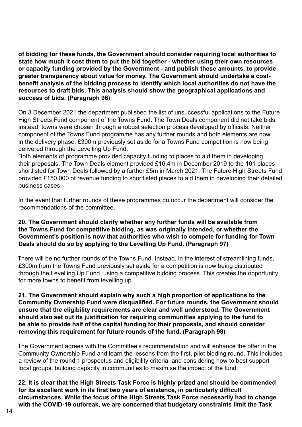**of bidding for these funds, the Government should consider requiring local authorities to state how much it cost them to put the bid together - whether using their own resources or capacity funding provided by the Government - and publish these amounts, to provide greater transparency about value for money. The Government should undertake a costbenefit analysis of the bidding process to identify which local authorities do not have the resources to draft bids. This analysis should show the geographical applications and success of bids. (Paragraph 96)**

On 3 December 2021 the department published the list of unsuccessful applications to the Future High Streets Fund component of the Towns Fund. The Town Deals component did not take bids: instead, towns were chosen through a robust selection process developed by officials. Neither component of the Towns Fund programme has any further rounds and both elements are now in the delivery phase. £300m previously set aside for a Towns Fund competition is now being delivered through the Levelling Up Fund.

Both elements of programme provided capacity funding to places to aid them in developing their proposals. The Town Deals element provided £16.4m in December 2019 to the 101 places shortlisted for Town Deals followed by a further £5m in March 2021. The Future High Streets Fund provided £150,000 of revenue funding to shortlisted places to aid them in developing their detailed business cases.

In the event that further rounds of these programmes do occur the department will consider the recommendations of the committee.

#### **20. The Government should clarify whether any further funds will be available from the Towns Fund for competitive bidding, as was originally intended, or whether the Government's position is now that authorities who wish to compete for funding for Town Deals should do so by applying to the Levelling Up Fund. (Paragraph 97)**

There will be no further rounds of the Towns Fund. Instead, in the interest of streamlining funds, £300m from the Towns Fund previously set aside for a competition is now being distributed through the Levelling Up Fund, using a competitive bidding process. This creates the opportunity for more towns to benefit from levelling up.

#### **21. The Government should explain why such a high proportion of applications to the Community Ownership Fund were disqualified. For future rounds, the Government should ensure that the eligibility requirements are clear and well understood. The Government should also set out its justification for requiring communities applying to the fund to be able to provide half of the capital funding for their proposals, and should consider removing this requirement for future rounds of the fund. (Paragraph 98)**

The Government agrees with the Committee's recommendation and will enhance the offer in the Community Ownership Fund and learn the lessons from the first, pilot bidding round. This includes a review of the round 1 prospectus and eligibility criteria, and considering how to best support local groups, building capacity in communities to maximise the impact of the fund.

**22. It is clear that the High Streets Task Force is highly prized and should be commended for its excellent work in its first two years of existence, in particularly difficult circumstances. While the focus of the High Streets Task Force necessarily had to change with the COVID-19 outbreak, we are concerned that budgetary constraints limit the Task**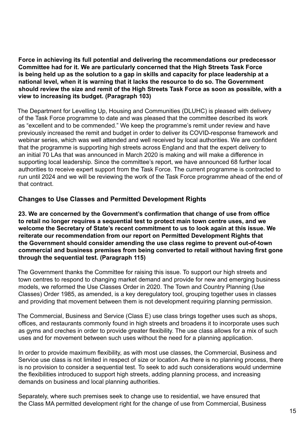<span id="page-14-0"></span>**Force in achieving its full potential and delivering the recommendations our predecessor Committee had for it. We are particularly concerned that the High Streets Task Force is being held up as the solution to a gap in skills and capacity for place leadership at a national level, when it is warning that it lacks the resource to do so. The Government should review the size and remit of the High Streets Task Force as soon as possible, with a view to increasing its budget. (Paragraph 103)**

The Department for Levelling Up, Housing and Communities (DLUHC) is pleased with delivery of the Task Force programme to date and was pleased that the committee described its work as "excellent and to be commended." We keep the programme's remit under review and have previously increased the remit and budget in order to deliver its COVID-response framework and webinar series, which was well attended and well received by local authorities. We are confident that the programme is supporting high streets across England and that the expert delivery to an initial 70 LAs that was announced in March 2020 is making and will make a difference in supporting local leadership. Since the committee's report, we have announced 68 further local authorities to receive expert support from the Task Force. The current programme is contracted to run until 2024 and we will be reviewing the work of the Task Force programme ahead of the end of that contract.

# **Changes to Use Classes and Permitted Development Rights**

**23. We are concerned by the Government's confirmation that change of use from office to retail no longer requires a sequential test to protect main town centre uses, and we welcome the Secretary of State's recent commitment to us to look again at this issue. We reiterate our recommendation from our report on Permitted Development Rights that the Government should consider amending the use class regime to prevent out-of-town commercial and business premises from being converted to retail without having first gone through the sequential test. (Paragraph 115)**

The Government thanks the Committee for raising this issue. To support our high streets and town centres to respond to changing market demand and provide for new and emerging business models, we reformed the Use Classes Order in 2020. The Town and Country Planning (Use Classes) Order 1985, as amended, is a key deregulatory tool, grouping together uses in classes and providing that movement between them is not development requiring planning permission.

The Commercial, Business and Service (Class E) use class brings together uses such as shops, offices, and restaurants commonly found in high streets and broadens it to incorporate uses such as gyms and creches in order to provide greater flexibility. The use class allows for a mix of such uses and for movement between such uses without the need for a planning application.

In order to provide maximum flexibility, as with most use classes, the Commercial, Business and Service use class is not limited in respect of size or location. As there is no planning process, there is no provision to consider a sequential test. To seek to add such considerations would undermine the flexibilities introduced to support high streets, adding planning process, and increasing demands on business and local planning authorities.

Separately, where such premises seek to change use to residential, we have ensured that the Class MA permitted development right for the change of use from Commercial, Business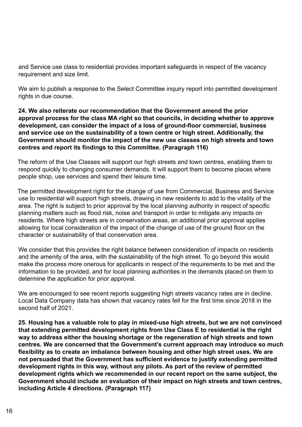and Service use class to residential provides important safeguards in respect of the vacancy requirement and size limit.

We aim to publish a response to the Select Committee inquiry report into permitted development rights in due course.

**24. We also reiterate our recommendation that the Government amend the prior approval process for the class MA right so that councils, in deciding whether to approve development, can consider the impact of a loss of ground-floor commercial, business and service use on the sustainability of a town centre or high street. Additionally, the Government should monitor the impact of the new use classes on high streets and town centres and report its findings to this Committee. (Paragraph 116)**

The reform of the Use Classes will support our high streets and town centres, enabling them to respond quickly to changing consumer demands. It will support them to become places where people shop, use services and spend their leisure time.

The permitted development right for the change of use from Commercial, Business and Service use to residential will support high streets, drawing in new residents to add to the vitality of the area. The right is subject to prior approval by the local planning authority in respect of specific planning matters such as flood risk, noise and transport in order to mitigate any impacts on residents. Where high streets are in conservation areas, an additional prior approval applies allowing for local consideration of the impact of the change of use of the ground floor on the character or sustainability of that conservation area.

We consider that this provides the right balance between consideration of impacts on residents and the amenity of the area, with the sustainability of the high street. To go beyond this would make the process more onerous for applicants in respect of the requirements to be met and the information to be provided, and for local planning authorities in the demands placed on them to determine the application for prior approval.

We are encouraged to see recent reports suggesting high streets vacancy rates are in decline. Local Data Company data has shown that vacancy rates fell for the first time since 2018 in the second half of 2021.

**25. Housing has a valuable role to play in mixed-use high streets, but we are not convinced that extending permitted development rights from Use Class E to residential is the right way to address either the housing shortage or the regeneration of high streets and town centres. We are concerned that the Government's current approach may introduce so much flexibility as to create an imbalance between housing and other high street uses. We are not persuaded that the Government has sufficient evidence to justify extending permitted development rights in this way, without any pilots. As part of the review of permitted development rights which we recommended in our recent report on the same subject, the Government should include an evaluation of their impact on high streets and town centres, including Article 4 directions. (Paragraph 117)**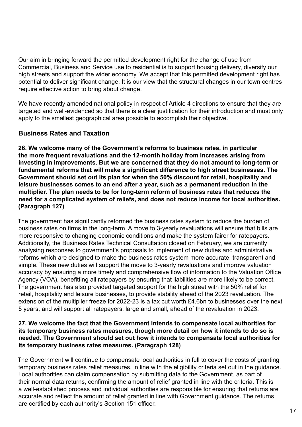<span id="page-16-0"></span>Our aim in bringing forward the permitted development right for the change of use from Commercial, Business and Service use to residential is to support housing delivery, diversify our high streets and support the wider economy. We accept that this permitted development right has potential to deliver significant change. It is our view that the structural changes in our town centres require effective action to bring about change.

We have recently amended national policy in respect of Article 4 directions to ensure that they are targeted and well-evidenced so that there is a clear justification for their introduction and must only apply to the smallest geographical area possible to accomplish their objective.

# **Business Rates and Taxation**

**26. We welcome many of the Government's reforms to business rates, in particular the more frequent revaluations and the 12-month holiday from increases arising from investing in improvements. But we are concerned that they do not amount to long-term or fundamental reforms that will make a significant difference to high street businesses. The Government should set out its plan for when the 50% discount for retail, hospitality and leisure businesses comes to an end after a year, such as a permanent reduction in the multiplier. The plan needs to be for long-term reform of business rates that reduces the need for a complicated system of reliefs, and does not reduce income for local authorities. (Paragraph 127)**

The government has significantly reformed the business rates system to reduce the burden of business rates on firms in the long-term. A move to 3-yearly revaluations will ensure that bills are more responsive to changing economic conditions and make the system fairer for ratepayers. Additionally, the Business Rates Technical Consultation closed on February, we are currently analysing responses to government's proposals to implement of new duties and administrative reforms which are designed to make the business rates system more accurate, transparent and simple. These new duties will support the move to 3-yearly revaluations and improve valuation accuracy by ensuring a more timely and comprehensive flow of information to the Valuation Office Agency (VOA), benefitting all ratepayers by ensuring that liabilities are more likely to be correct. The government has also provided targeted support for the high street with the 50% relief for retail, hospitality and leisure businesses, to provide stability ahead of the 2023 revaluation. The extension of the multiplier freeze for 2022-23 is a tax cut worth £4.6bn to businesses over the next 5 years, and will support all ratepayers, large and small, ahead of the revaluation in 2023.

#### **27. We welcome the fact that the Government intends to compensate local authorities for its temporary business rates measures, though more detail on how it intends to do so is needed. The Government should set out how it intends to compensate local authorities for its temporary business rates measures. (Paragraph 128)**

The Government will continue to compensate local authorities in full to cover the costs of granting temporary business rates relief measures, in line with the eligibility criteria set out in the guidance. Local authorities can claim compensation by submitting data to the Government, as part of their normal data returns, confirming the amount of relief granted in line with the criteria. This is a well-established process and individual authorities are responsible for ensuring that returns are accurate and reflect the amount of relief granted in line with Government guidance. The returns are certified by each authority's Section 151 officer.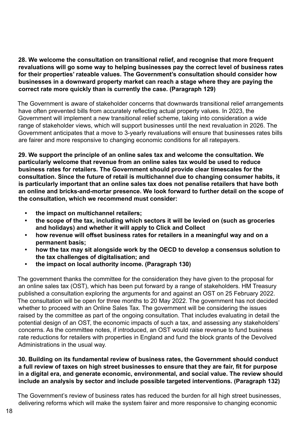**28. We welcome the consultation on transitional relief, and recognise that more frequent revaluations will go some way to helping businesses pay the correct level of business rates for their properties' rateable values. The Government's consultation should consider how businesses in a downward property market can reach a stage where they are paying the correct rate more quickly than is currently the case. (Paragraph 129)**

The Government is aware of stakeholder concerns that downwards transitional relief arrangements have often prevented bills from accurately reflecting actual property values. In 2023, the Government will implement a new transitional relief scheme, taking into consideration a wide range of stakeholder views, which will support businesses until the next revaluation in 2026. The Government anticipates that a move to 3-yearly revaluations will ensure that businesses rates bills are fairer and more responsive to changing economic conditions for all ratepayers.

**29. We support the principle of an online sales tax and welcome the consultation. We particularly welcome that revenue from an online sales tax would be used to reduce business rates for retailers. The Government should provide clear timescales for the consultation. Since the future of retail is multichannel due to changing consumer habits, it is particularly important that an online sales tax does not penalise retailers that have both an online and bricks-and-mortar presence. We look forward to further detail on the scope of the consultation, which we recommend must consider:**

- **• the impact on multichannel retailers;**
- **• the scope of the tax, including which sectors it will be levied on (such as groceries and holidays) and whether it will apply to Click and Collect**
- **• how revenue will offset business rates for retailers in a meaningful way and on a permanent basis;**
- **• how the tax may sit alongside work by the OECD to develop a consensus solution to the tax challenges of digitalisation; and**
- **• the impact on local authority income. (Paragraph 130)**

The government thanks the committee for the consideration they have given to the proposal for an online sales tax (OST), which has been put forward by a range of stakeholders. HM Treasury published a consultation exploring the arguments for and against an OST on 25 February 2022. The consultation will be open for three months to 20 May 2022. The government has not decided whether to proceed with an Online Sales Tax. The government will be considering the issues raised by the committee as part of the ongoing consultation. That includes evaluating in detail the potential design of an OST, the economic impacts of such a tax, and assessing any stakeholders' concerns. As the committee notes, if introduced, an OST would raise revenue to fund business rate reductions for retailers with properties in England and fund the block grants of the Devolved Administrations in the usual way.

## **30. Building on its fundamental review of business rates, the Government should conduct a full review of taxes on high street businesses to ensure that they are fair, fit for purpose in a digital era, and generate economic, environmental, and social value. The review should include an analysis by sector and include possible targeted interventions. (Paragraph 132)**

The Government's review of business rates has reduced the burden for all high street businesses, delivering reforms which will make the system fairer and more responsive to changing economic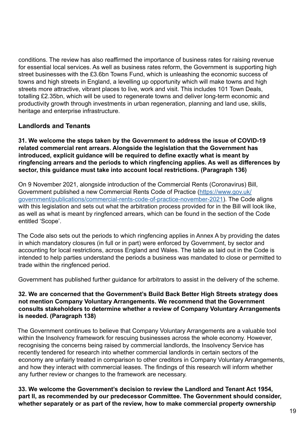<span id="page-18-0"></span>conditions. The review has also reaffirmed the importance of business rates for raising revenue for essential local services. As well as business rates reform, the Government is supporting high street businesses with the £3.6bn Towns Fund, which is unleashing the economic success of towns and high streets in England, a levelling up opportunity which will make towns and high streets more attractive, vibrant places to live, work and visit. This includes 101 Town Deals, totalling £2.35bn, which will be used to regenerate towns and deliver long-term economic and productivity growth through investments in urban regeneration, planning and land use, skills, heritage and enterprise infrastructure.

# **Landlords and Tenants**

**31. We welcome the steps taken by the Government to address the issue of COVID-19 related commercial rent arrears. Alongside the legislation that the Government has introduced, explicit guidance will be required to define exactly what is meant by ringfencing arrears and the periods to which ringfencing applies. As well as differences by sector, this guidance must take into account local restrictions. (Paragraph 136)**

On 9 November 2021, alongside introduction of the Commercial Rents (Coronavirus) Bill, Government published a new Commercial Rents Code of Practice ([https://www.gov.uk/](https://www.gov.uk/government/publications/commercial-rents-code-of-practice-november-2021) [government/publications/commercial-rents-code-of-practice-november-2021\)](https://www.gov.uk/government/publications/commercial-rents-code-of-practice-november-2021). The Code aligns with this legislation and sets out what the arbitration process provided for in the Bill will look like, as well as what is meant by ringfenced arrears, which can be found in the section of the Code entitled 'Scope'.

The Code also sets out the periods to which ringfencing applies in Annex A by providing the dates in which mandatory closures (in full or in part) were enforced by Government, by sector and accounting for local restrictions, across England and Wales. The table as laid out in the Code is intended to help parties understand the periods a business was mandated to close or permitted to trade within the ringfenced period.

Government has published further guidance for arbitrators to assist in the delivery of the scheme.

## **32. We are concerned that the Government's Build Back Better High Streets strategy does not mention Company Voluntary Arrangements. We recommend that the Government consults stakeholders to determine whether a review of Company Voluntary Arrangements is needed. (Paragraph 138)**

The Government continues to believe that Company Voluntary Arrangements are a valuable tool within the Insolvency framework for rescuing businesses across the whole economy. However, recognising the concerns being raised by commercial landlords, the Insolvency Service has recently tendered for research into whether commercial landlords in certain sectors of the economy are unfairly treated in comparison to other creditors in Company Voluntary Arrangements, and how they interact with commercial leases. The findings of this research will inform whether any further review or changes to the framework are necessary.

**33. We welcome the Government's decision to review the Landlord and Tenant Act 1954, part II, as recommended by our predecessor Committee. The Government should consider, whether separately or as part of the review, how to make commercial property ownership**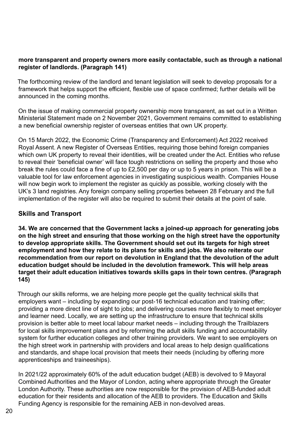## <span id="page-19-0"></span>**more transparent and property owners more easily contactable, such as through a national register of landlords. (Paragraph 141)**

The forthcoming review of the landlord and tenant legislation will seek to develop proposals for a framework that helps support the efficient, flexible use of space confirmed; further details will be announced in the coming months.

On the issue of making commercial property ownership more transparent, as set out in a Written Ministerial Statement made on 2 November 2021, Government remains committed to establishing a new beneficial ownership register of overseas entities that own UK property.

On 15 March 2022, the Economic Crime (Transparency and Enforcement) Act 2022 received Royal Assent. A new Register of Overseas Entities, requiring those behind foreign companies which own UK property to reveal their identities, will be created under the Act. Entities who refuse to reveal their 'beneficial owner' will face tough restrictions on selling the property and those who break the rules could face a fine of up to £2,500 per day or up to 5 years in prison. This will be a valuable tool for law enforcement agencies in investigating suspicious wealth. Companies House will now begin work to implement the register as quickly as possible, working closely with the UK's 3 land registries. Any foreign company selling properties between 28 February and the full implementation of the register will also be required to submit their details at the point of sale.

## **Skills and Transport**

**34. We are concerned that the Government lacks a joined-up approach for generating jobs on the high street and ensuring that those working on the high street have the opportunity to develop appropriate skills. The Government should set out its targets for high street employment and how they relate to its plans for skills and jobs. We also reiterate our recommendation from our report on devolution in England that the devolution of the adult education budget should be included in the devolution framework. This will help areas target their adult education initiatives towards skills gaps in their town centres. (Paragraph 145)**

Through our skills reforms, we are helping more people get the quality technical skills that employers want – including by expanding our post-16 technical education and training offer; providing a more direct line of sight to jobs; and delivering courses more flexibly to meet employer and learner need. Locally, we are setting up the infrastructure to ensure that technical skills provision is better able to meet local labour market needs – including through the Trailblazers for local skills improvement plans and by reforming the adult skills funding and accountability system for further education colleges and other training providers. We want to see employers on the high street work in partnership with providers and local areas to help design qualifications and standards, and shape local provision that meets their needs (including by offering more apprenticeships and traineeships).

In 2021/22 approximately 60% of the adult education budget (AEB) is devolved to 9 Mayoral Combined Authorities and the Mayor of London, acting where appropriate through the Greater London Authority. These authorities are now responsible for the provision of AEB-funded adult education for their residents and allocation of the AEB to providers. The Education and Skills Funding Agency is responsible for the remaining AEB in non-devolved areas.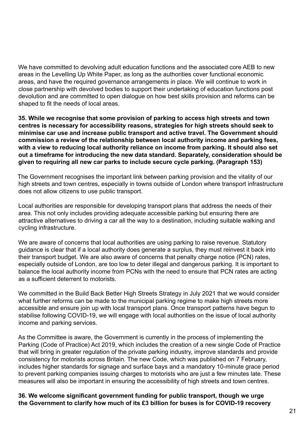We have committed to devolving adult education functions and the associated core AEB to new areas in the Levelling Up White Paper, as long as the authorities cover functional economic areas, and have the required governance arrangements in place. We will continue to work in close partnership with devolved bodies to support their undertaking of education functions post devolution and are committed to open dialogue on how best skills provision and reforms can be shaped to fit the needs of local areas.

**35. While we recognise that some provision of parking to access high streets and town centres is necessary for accessibility reasons, strategies for high streets should seek to minimise car use and increase public transport and active travel. The Government should commission a review of the relationship between local authority income and parking fees, with a view to reducing local authority reliance on income from parking. It should also set out a timeframe for introducing the new data standard. Separately, consideration should be given to requiring all new car parks to include secure cycle parking. (Paragraph 153)**

The Government recognises the important link between parking provision and the vitality of our high streets and town centres, especially in towns outside of London where transport infrastructure does not allow citizens to use public transport.

Local authorities are responsible for developing transport plans that address the needs of their area. This not only includes providing adequate accessible parking but ensuring there are attractive alternatives to driving a car all the way to a destination, including suitable walking and cycling infrastructure.

We are aware of concerns that local authorities are using parking to raise revenue. Statutory guidance is clear that if a local authority does generate a surplus, they must reinvest it back into their transport budget. We are also aware of concerns that penalty charge notice (PCN) rates, especially outside of London, are too low to deter illegal and dangerous parking. It is important to balance the local authority income from PCNs with the need to ensure that PCN rates are acting as a sufficient deterrent to motorists.

We committed in the Build Back Better High Streets Strategy in July 2021 that we would consider what further reforms can be made to the municipal parking regime to make high streets more accessible and ensure join up with local transport plans. Once transport patterns have begun to stabilise following COVID-19, we will engage with local authorities on the issue of local authority income and parking services.

As the Committee is aware, the Government is currently in the process of implementing the Parking (Code of Practice) Act 2019, which includes the creation of a new single Code of Practice that will bring in greater regulation of the private parking industry, improve standards and provide consistency for motorists across Britain. The new Code, which was published on 7 February, includes higher standards for signage and surface bays and a mandatory 10-minute grace period to prevent parking companies issuing charges to motorists who are just a few minutes late. These measures will also be important in ensuring the accessibility of high streets and town centres.

**36. We welcome significant government funding for public transport, though we urge the Government to clarify how much of its £3 billion for buses is for COVID-19 recovery**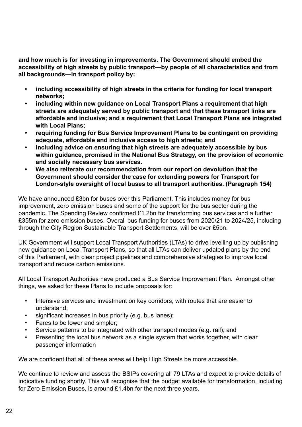**and how much is for investing in improvements. The Government should embed the accessibility of high streets by public transport—by people of all characteristics and from all backgrounds—in transport policy by:**

- **• including accessibility of high streets in the criteria for funding for local transport networks;**
- **• including within new guidance on Local Transport Plans a requirement that high streets are adequately served by public transport and that these transport links are affordable and inclusive; and a requirement that Local Transport Plans are integrated with Local Plans;**
- **• requiring funding for Bus Service Improvement Plans to be contingent on providing adequate, affordable and inclusive access to high streets; and**
- **• including advice on ensuring that high streets are adequately accessible by bus within guidance, promised in the National Bus Strategy, on the provision of economic and socially necessary bus services.**
- **• We also reiterate our recommendation from our report on devolution that the Government should consider the case for extending powers for Transport for London-style oversight of local buses to all transport authorities. (Paragraph 154)**

We have announced £3bn for buses over this Parliament. This includes money for bus improvement, zero emission buses and some of the support for the bus sector during the pandemic. The Spending Review confirmed £1.2bn for transforming bus services and a further £355m for zero emission buses. Overall bus funding for buses from 2020/21 to 2024/25, including through the City Region Sustainable Transport Settlements, will be over £5bn.

UK Government will support Local Transport Authorities (LTAs) to drive levelling up by publishing new guidance on Local Transport Plans, so that all LTAs can deliver updated plans by the end of this Parliament, with clear project pipelines and comprehensive strategies to improve local transport and reduce carbon emissions.

All Local Transport Authorities have produced a Bus Service Improvement Plan. Amongst other things, we asked for these Plans to include proposals for:

- Intensive services and investment on key corridors, with routes that are easier to understand;
- significant increases in bus priority (e.g. bus lanes);
- Fares to be lower and simpler;
- Service patterns to be integrated with other transport modes (e.g. rail); and
- Presenting the local bus network as a single system that works together, with clear passenger information

We are confident that all of these areas will help High Streets be more accessible.

We continue to review and assess the BSIPs covering all 79 LTAs and expect to provide details of indicative funding shortly. This will recognise that the budget available for transformation, including for Zero Emission Buses, is around £1.4bn for the next three years.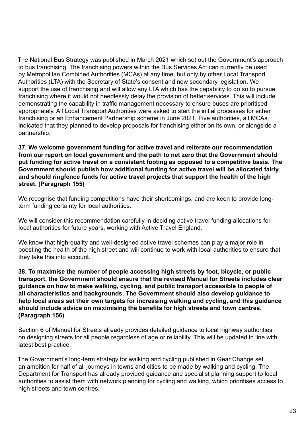The National Bus Strategy was published in March 2021 which set out the Government's approach to bus franchising. The franchising powers within the Bus Services Act can currently be used by Metropolitan Combined Authorities (MCAs) at any time, but only by other Local Transport Authorities (LTA) with the Secretary of State's consent and new secondary legislation. We support the use of franchising and will allow any LTA which has the capability to do so to pursue franchising where it would not needlessly delay the provision of better services. This will include demonstrating the capability in traffic management necessary to ensure buses are prioritised appropriately. All Local Transport Authorities were asked to start the initial processes for either franchising or an Enhancement Partnership scheme in June 2021. Five authorities, all MCAs, indicated that they planned to develop proposals for franchising either on its own, or alongside a partnership.

**37. We welcome government funding for active travel and reiterate our recommendation from our report on local government and the path to net zero that the Government should put funding for active travel on a consistent footing as opposed to a competitive basis. The Government should publish how additional funding for active travel will be allocated fairly and should ringfence funds for active travel projects that support the health of the high street. (Paragraph 155)**

We recognise that funding competitions have their shortcomings, and are keen to provide longterm funding certainty for local authorities.

We will consider this recommendation carefully in deciding active travel funding allocations for local authorities for future years, working with Active Travel England.

We know that high-quality and well-designed active travel schemes can play a major role in boosting the health of the high street and will continue to work with local authorities to ensure that they take this into account.

**38. To maximise the number of people accessing high streets by foot, bicycle, or public transport, the Government should ensure that the revised Manual for Streets includes clear guidance on how to make walking, cycling, and public transport accessible to people of all characteristics and backgrounds. The Government should also develop guidance to help local areas set their own targets for increasing walking and cycling, and this guidance should include advice on maximising the benefits for high streets and town centres. (Paragraph 156)**

Section 6 of Manual for Streets already provides detailed guidance to local highway authorities on designing streets for all people regardless of age or reliability. This will be updated in line with latest best practice.

The Government's long-term strategy for walking and cycling published in Gear Change set an ambition for half of all journeys in towns and cities to be made by walking and cycling. The Department for Transport has already provided guidance and specialist planning support to local authorities to assist them with network planning for cycling and walking, which prioritises access to high streets and town centres.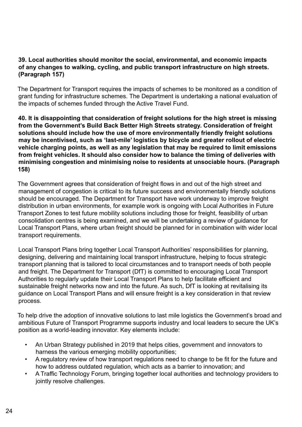## **39. Local authorities should monitor the social, environmental, and economic impacts of any changes to walking, cycling, and public transport infrastructure on high streets. (Paragraph 157)**

The Department for Transport requires the impacts of schemes to be monitored as a condition of grant funding for infrastructure schemes. The Department is undertaking a national evaluation of the impacts of schemes funded through the Active Travel Fund.

**40. It is disappointing that consideration of freight solutions for the high street is missing from the Government's Build Back Better High Streets strategy. Consideration of freight solutions should include how the use of more environmentally friendly freight solutions may be incentivised, such as 'last-mile' logistics by bicycle and greater rollout of electric vehicle charging points, as well as any legislation that may be required to limit emissions from freight vehicles. It should also consider how to balance the timing of deliveries with minimising congestion and minimising noise to residents at unsociable hours. (Paragraph 158)**

The Government agrees that consideration of freight flows in and out of the high street and management of congestion is critical to its future success and environmentally friendly solutions should be encouraged. The Department for Transport have work underway to improve freight distribution in urban environments, for example work is ongoing with Local Authorities in Future Transport Zones to test future mobility solutions including those for freight, feasibility of urban consolidation centres is being examined, and we will be undertaking a review of guidance for Local Transport Plans, where urban freight should be planned for in combination with wider local transport requirements.

Local Transport Plans bring together Local Transport Authorities' responsibilities for planning, designing, delivering and maintaining local transport infrastructure, helping to focus strategic transport planning that is tailored to local circumstances and to transport needs of both people and freight. The Department for Transport (DfT) is committed to encouraging Local Transport Authorities to regularly update their Local Transport Plans to help facilitate efficient and sustainable freight networks now and into the future. As such, DfT is looking at revitalising its guidance on Local Transport Plans and will ensure freight is a key consideration in that review process.

To help drive the adoption of innovative solutions to last mile logistics the Government's broad and ambitious Future of Transport Programme supports industry and local leaders to secure the UK's position as a world-leading innovator. Key elements include:

- An Urban Strategy published in 2019 that helps cities, government and innovators to harness the various emerging mobility opportunities;
- A regulatory review of how transport regulations need to change to be fit for the future and how to address outdated regulation, which acts as a barrier to innovation; and
- A Traffic Technology Forum, bringing together local authorities and technology providers to jointly resolve challenges.